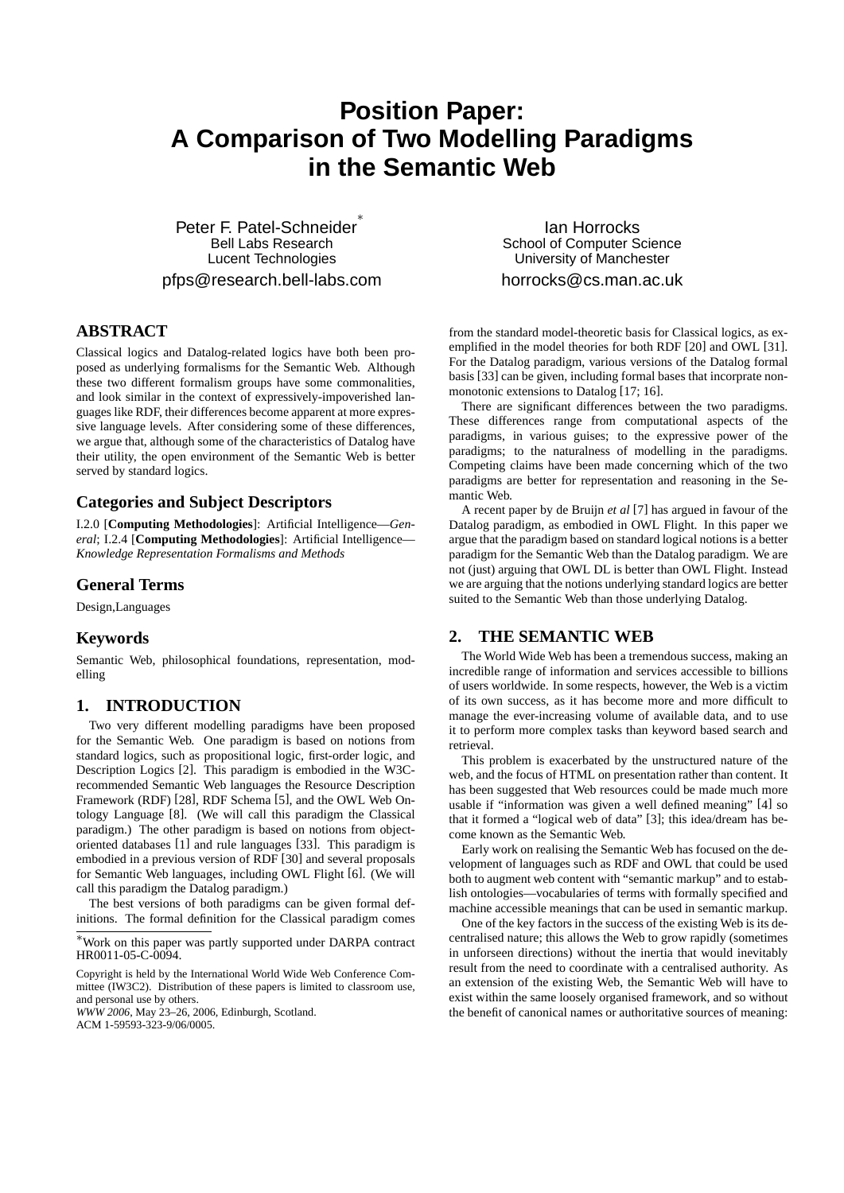# **Position Paper: A Comparison of Two Modelling Paradigms in the Semantic Web**

Peter F. Patel-Schneider<sup>\*</sup> Bell Labs Research Lucent Technologies pfps@research.bell-labs.com

**ABSTRACT**

Classical logics and Datalog-related logics have both been proposed as underlying formalisms for the Semantic Web. Although these two different formalism groups have some commonalities, and look similar in the context of expressively-impoverished languages like RDF, their differences become apparent at more expressive language levels. After considering some of these differences, we argue that, although some of the characteristics of Datalog have their utility, the open environment of the Semantic Web is better served by standard logics.

# **Categories and Subject Descriptors**

I.2.0 [**Computing Methodologies**]: Artificial Intelligence—*General*; I.2.4 [**Computing Methodologies**]: Artificial Intelligence— *Knowledge Representation Formalisms and Methods*

# **General Terms**

Design,Languages

### **Keywords**

Semantic Web, philosophical foundations, representation, modelling

# **1. INTRODUCTION**

Two very different modelling paradigms have been proposed for the Semantic Web. One paradigm is based on notions from standard logics, such as propositional logic, first-order logic, and Description Logics [2]. This paradigm is embodied in the W3Crecommended Semantic Web languages the Resource Description Framework (RDF) [28], RDF Schema [5], and the OWL Web Ontology Language [8]. (We will call this paradigm the Classical paradigm.) The other paradigm is based on notions from objectoriented databases [1] and rule languages [33]. This paradigm is embodied in a previous version of RDF [30] and several proposals for Semantic Web languages, including OWL Flight [6]. (We will call this paradigm the Datalog paradigm.)

The best versions of both paradigms can be given formal definitions. The formal definition for the Classical paradigm comes

Copyright is held by the International World Wide Web Conference Committee (IW3C2). Distribution of these papers is limited to classroom use, and personal use by others.

*WWW 2006*, May 23–26, 2006, Edinburgh, Scotland.

ACM 1-59593-323-9/06/0005.

Ian Horrocks School of Computer Science University of Manchester horrocks@cs.man.ac.uk

from the standard model-theoretic basis for Classical logics, as exemplified in the model theories for both RDF [20] and OWL [31]. For the Datalog paradigm, various versions of the Datalog formal basis [33] can be given, including formal bases that incorprate nonmonotonic extensions to Datalog [17; 16].

There are significant differences between the two paradigms. These differences range from computational aspects of the paradigms, in various guises; to the expressive power of the paradigms; to the naturalness of modelling in the paradigms. Competing claims have been made concerning which of the two paradigms are better for representation and reasoning in the Semantic Web.

A recent paper by de Bruijn *et al* [7] has argued in favour of the Datalog paradigm, as embodied in OWL Flight. In this paper we argue that the paradigm based on standard logical notions is a better paradigm for the Semantic Web than the Datalog paradigm. We are not (just) arguing that OWL DL is better than OWL Flight. Instead we are arguing that the notions underlying standard logics are better suited to the Semantic Web than those underlying Datalog.

# **2. THE SEMANTIC WEB**

The World Wide Web has been a tremendous success, making an incredible range of information and services accessible to billions of users worldwide. In some respects, however, the Web is a victim of its own success, as it has become more and more difficult to manage the ever-increasing volume of available data, and to use it to perform more complex tasks than keyword based search and retrieval.

This problem is exacerbated by the unstructured nature of the web, and the focus of HTML on presentation rather than content. It has been suggested that Web resources could be made much more usable if "information was given a well defined meaning" [4] so that it formed a "logical web of data" [3]; this idea/dream has become known as the Semantic Web.

Early work on realising the Semantic Web has focused on the development of languages such as RDF and OWL that could be used both to augment web content with "semantic markup" and to establish ontologies—vocabularies of terms with formally specified and machine accessible meanings that can be used in semantic markup.

One of the key factors in the success of the existing Web is its decentralised nature; this allows the Web to grow rapidly (sometimes in unforseen directions) without the inertia that would inevitably result from the need to coordinate with a centralised authority. As an extension of the existing Web, the Semantic Web will have to exist within the same loosely organised framework, and so without the benefit of canonical names or authoritative sources of meaning:

<sup>∗</sup>Work on this paper was partly supported under DARPA contract HR0011-05-C-0094.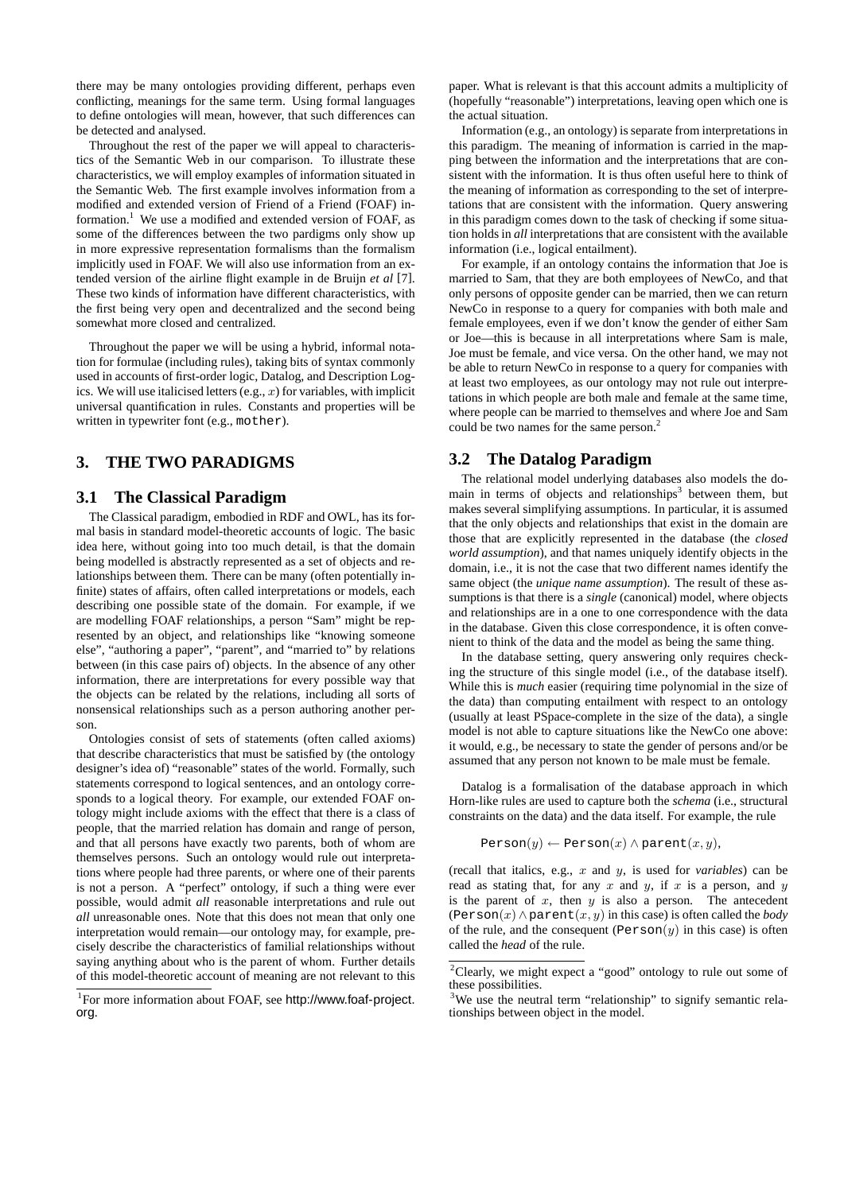there may be many ontologies providing different, perhaps even conflicting, meanings for the same term. Using formal languages to define ontologies will mean, however, that such differences can be detected and analysed.

Throughout the rest of the paper we will appeal to characteristics of the Semantic Web in our comparison. To illustrate these characteristics, we will employ examples of information situated in the Semantic Web. The first example involves information from a modified and extended version of Friend of a Friend (FOAF) information.<sup>1</sup> We use a modified and extended version of FOAF, as some of the differences between the two pardigms only show up in more expressive representation formalisms than the formalism implicitly used in FOAF. We will also use information from an extended version of the airline flight example in de Bruijn *et al* [7]. These two kinds of information have different characteristics, with the first being very open and decentralized and the second being somewhat more closed and centralized.

Throughout the paper we will be using a hybrid, informal notation for formulae (including rules), taking bits of syntax commonly used in accounts of first-order logic, Datalog, and Description Logics. We will use italicised letters  $(e.g., x)$  for variables, with implicit universal quantification in rules. Constants and properties will be written in typewriter font (e.g., mother).

# **3. THE TWO PARADIGMS**

## **3.1 The Classical Paradigm**

The Classical paradigm, embodied in RDF and OWL, has its formal basis in standard model-theoretic accounts of logic. The basic idea here, without going into too much detail, is that the domain being modelled is abstractly represented as a set of objects and relationships between them. There can be many (often potentially infinite) states of affairs, often called interpretations or models, each describing one possible state of the domain. For example, if we are modelling FOAF relationships, a person "Sam" might be represented by an object, and relationships like "knowing someone else", "authoring a paper", "parent", and "married to" by relations between (in this case pairs of) objects. In the absence of any other information, there are interpretations for every possible way that the objects can be related by the relations, including all sorts of nonsensical relationships such as a person authoring another person.

Ontologies consist of sets of statements (often called axioms) that describe characteristics that must be satisfied by (the ontology designer's idea of) "reasonable" states of the world. Formally, such statements correspond to logical sentences, and an ontology corresponds to a logical theory. For example, our extended FOAF ontology might include axioms with the effect that there is a class of people, that the married relation has domain and range of person, and that all persons have exactly two parents, both of whom are themselves persons. Such an ontology would rule out interpretations where people had three parents, or where one of their parents is not a person. A "perfect" ontology, if such a thing were ever possible, would admit *all* reasonable interpretations and rule out *all* unreasonable ones. Note that this does not mean that only one interpretation would remain—our ontology may, for example, precisely describe the characteristics of familial relationships without saying anything about who is the parent of whom. Further details of this model-theoretic account of meaning are not relevant to this paper. What is relevant is that this account admits a multiplicity of (hopefully "reasonable") interpretations, leaving open which one is the actual situation.

Information (e.g., an ontology) is separate from interpretations in this paradigm. The meaning of information is carried in the mapping between the information and the interpretations that are consistent with the information. It is thus often useful here to think of the meaning of information as corresponding to the set of interpretations that are consistent with the information. Query answering in this paradigm comes down to the task of checking if some situation holds in *all* interpretations that are consistent with the available information (i.e., logical entailment).

For example, if an ontology contains the information that Joe is married to Sam, that they are both employees of NewCo, and that only persons of opposite gender can be married, then we can return NewCo in response to a query for companies with both male and female employees, even if we don't know the gender of either Sam or Joe—this is because in all interpretations where Sam is male, Joe must be female, and vice versa. On the other hand, we may not be able to return NewCo in response to a query for companies with at least two employees, as our ontology may not rule out interpretations in which people are both male and female at the same time, where people can be married to themselves and where Joe and Sam could be two names for the same person.<sup>2</sup>

# **3.2 The Datalog Paradigm**

The relational model underlying databases also models the domain in terms of objects and relationships<sup>3</sup> between them, but makes several simplifying assumptions. In particular, it is assumed that the only objects and relationships that exist in the domain are those that are explicitly represented in the database (the *closed world assumption*), and that names uniquely identify objects in the domain, i.e., it is not the case that two different names identify the same object (the *unique name assumption*). The result of these assumptions is that there is a *single* (canonical) model, where objects and relationships are in a one to one correspondence with the data in the database. Given this close correspondence, it is often convenient to think of the data and the model as being the same thing.

In the database setting, query answering only requires checking the structure of this single model (i.e., of the database itself). While this is *much* easier (requiring time polynomial in the size of the data) than computing entailment with respect to an ontology (usually at least PSpace-complete in the size of the data), a single model is not able to capture situations like the NewCo one above: it would, e.g., be necessary to state the gender of persons and/or be assumed that any person not known to be male must be female.

Datalog is a formalisation of the database approach in which Horn-like rules are used to capture both the *schema* (i.e., structural constraints on the data) and the data itself. For example, the rule

$$
\mathtt{Person}(y) \leftarrow \mathtt{Person}(x) \land \mathtt{parent}(x, y),
$$

(recall that italics, e.g., x and y, is used for *variables*) can be read as stating that, for any x and y, if x is a person, and y is the parent of  $x$ , then  $y$  is also a person. The antecedent  $(Person(x) \wedge parent(x, y)$  in this case) is often called the *body* of the rule, and the consequent ( $Person(y)$  in this case) is often called the *head* of the rule.

<sup>&</sup>lt;sup>1</sup>For more information about FOAF, see http://www.foaf-project. org.

<sup>2</sup>Clearly, we might expect a "good" ontology to rule out some of these possibilities.

<sup>&</sup>lt;sup>3</sup>We use the neutral term "relationship" to signify semantic relationships between object in the model.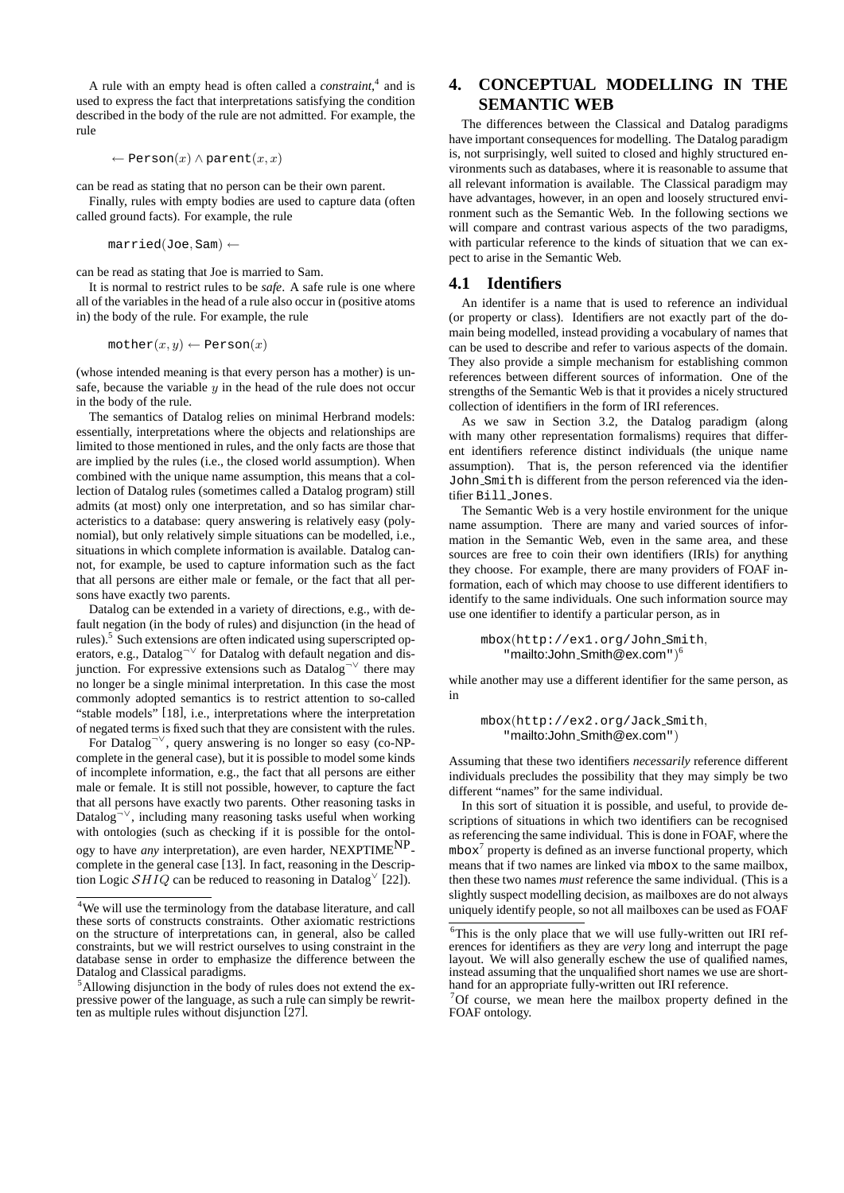A rule with an empty head is often called a *constraint*, 4 and is used to express the fact that interpretations satisfying the condition described in the body of the rule are not admitted. For example, the rule

 $\leftarrow$  Person $(x) \wedge$  parent $(x, x)$ 

can be read as stating that no person can be their own parent.

Finally, rules with empty bodies are used to capture data (often called ground facts). For example, the rule

 $married(Joe, Sam) \leftarrow$ 

can be read as stating that Joe is married to Sam.

It is normal to restrict rules to be *safe*. A safe rule is one where all of the variables in the head of a rule also occur in (positive atoms in) the body of the rule. For example, the rule

$$
\mathtt{mother}(x, y) \leftarrow \mathtt{Person}(x)
$$

(whose intended meaning is that every person has a mother) is unsafe, because the variable  $y$  in the head of the rule does not occur in the body of the rule.

The semantics of Datalog relies on minimal Herbrand models: essentially, interpretations where the objects and relationships are limited to those mentioned in rules, and the only facts are those that are implied by the rules (i.e., the closed world assumption). When combined with the unique name assumption, this means that a collection of Datalog rules (sometimes called a Datalog program) still admits (at most) only one interpretation, and so has similar characteristics to a database: query answering is relatively easy (polynomial), but only relatively simple situations can be modelled, i.e., situations in which complete information is available. Datalog cannot, for example, be used to capture information such as the fact that all persons are either male or female, or the fact that all persons have exactly two parents.

Datalog can be extended in a variety of directions, e.g., with default negation (in the body of rules) and disjunction (in the head of rules).<sup>5</sup> Such extensions are often indicated using superscripted operators, e.g., Datalog<sup>¬∨</sup> for Datalog with default negation and disjunction. For expressive extensions such as Datalog<sup> $\neg\vee$ </sup> there may no longer be a single minimal interpretation. In this case the most commonly adopted semantics is to restrict attention to so-called "stable models" [18], i.e., interpretations where the interpretation of negated terms is fixed such that they are consistent with the rules.

For Datalog¬∨, query answering is no longer so easy (co-NPcomplete in the general case), but it is possible to model some kinds of incomplete information, e.g., the fact that all persons are either male or female. It is still not possible, however, to capture the fact that all persons have exactly two parents. Other reasoning tasks in Datalog¬∨, including many reasoning tasks useful when working with ontologies (such as checking if it is possible for the ontology to have *any* interpretation), are even harder, NEXPTIME<sup>NP</sup>complete in the general case [13]. In fact, reasoning in the Description Logic  $SHIQ$  can be reduced to reasoning in Datalog<sup> $\vee$ </sup> [22]).

# **4. CONCEPTUAL MODELLING IN THE SEMANTIC WEB**

The differences between the Classical and Datalog paradigms have important consequences for modelling. The Datalog paradigm is, not surprisingly, well suited to closed and highly structured environments such as databases, where it is reasonable to assume that all relevant information is available. The Classical paradigm may have advantages, however, in an open and loosely structured environment such as the Semantic Web. In the following sections we will compare and contrast various aspects of the two paradigms, with particular reference to the kinds of situation that we can expect to arise in the Semantic Web.

### **4.1 Identifiers**

An identifer is a name that is used to reference an individual (or property or class). Identifiers are not exactly part of the domain being modelled, instead providing a vocabulary of names that can be used to describe and refer to various aspects of the domain. They also provide a simple mechanism for establishing common references between different sources of information. One of the strengths of the Semantic Web is that it provides a nicely structured collection of identifiers in the form of IRI references.

As we saw in Section 3.2, the Datalog paradigm (along with many other representation formalisms) requires that different identifiers reference distinct individuals (the unique name assumption). That is, the person referenced via the identifier John Smith is different from the person referenced via the identifier Bill Jones.

The Semantic Web is a very hostile environment for the unique name assumption. There are many and varied sources of information in the Semantic Web, even in the same area, and these sources are free to coin their own identifiers (IRIs) for anything they choose. For example, there are many providers of FOAF information, each of which may choose to use different identifiers to identify to the same individuals. One such information source may use one identifier to identify a particular person, as in

```
mbox(http://ex1.org/John Smith,
    "mailto:John_Smith@ex.com")<sup>6</sup>
```
while another may use a different identifier for the same person, as in

mbox(http://ex2.org/Jack Smith, "mailto:John Smith@ex.com")

Assuming that these two identifiers *necessarily* reference different individuals precludes the possibility that they may simply be two different "names" for the same individual.

In this sort of situation it is possible, and useful, to provide descriptions of situations in which two identifiers can be recognised as referencing the same individual. This is done in FOAF, where the  $m$ box<sup>7</sup> property is defined as an inverse functional property, which means that if two names are linked via mbox to the same mailbox, then these two names *must* reference the same individual. (This is a slightly suspect modelling decision, as mailboxes are do not always uniquely identify people, so not all mailboxes can be used as FOAF

<sup>4</sup>We will use the terminology from the database literature, and call these sorts of constructs constraints. Other axiomatic restrictions on the structure of interpretations can, in general, also be called constraints, but we will restrict ourselves to using constraint in the database sense in order to emphasize the difference between the Datalog and Classical paradigms.

<sup>5</sup>Allowing disjunction in the body of rules does not extend the expressive power of the language, as such a rule can simply be rewritten as multiple rules without disjunction [27].

<sup>6</sup>This is the only place that we will use fully-written out IRI references for identifiers as they are *very* long and interrupt the page layout. We will also generally eschew the use of qualified names, instead assuming that the unqualified short names we use are shorthand for an appropriate fully-written out IRI reference.

 $7$ Of course, we mean here the mailbox property defined in the FOAF ontology.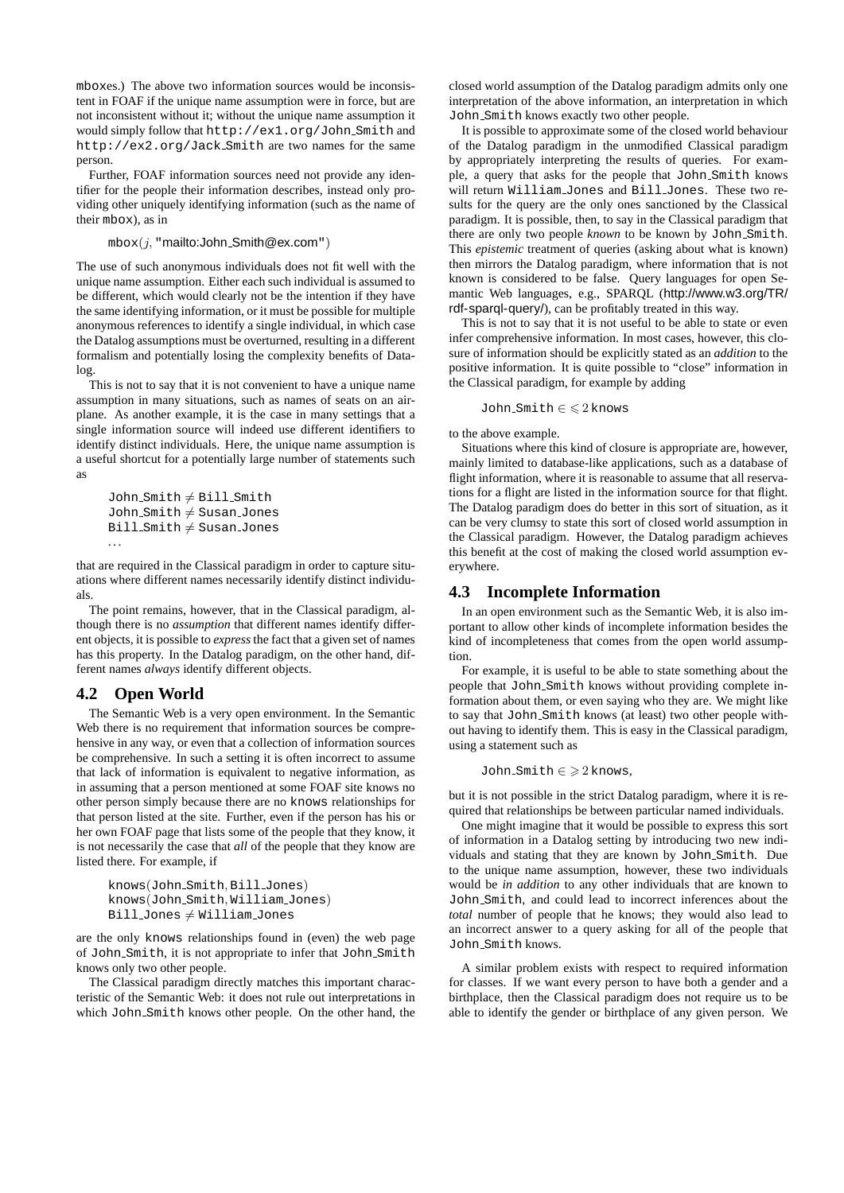mboxes.) The above two information sources would be inconsistent in FOAF if the unique name assumption were in force, but are not inconsistent without it; without the unique name assumption it would simply follow that http://ex1.org/John Smith and http://ex2.org/Jack Smith are two names for the same person.

Further, FOAF information sources need not provide any identifier for the people their information describes, instead only providing other uniquely identifying information (such as the name of their mbox), as in

 $mbox(j, "mailto:John-Smith@ex.com")$ 

The use of such anonymous individuals does not fit well with the unique name assumption. Either each such individual is assumed to be different, which would clearly not be the intention if they have the same identifying information, or it must be possible for multiple anonymous references to identify a single individual, in which case the Datalog assumptions must be overturned, resulting in a different formalism and potentially losing the complexity benefits of Datalog.

This is not to say that it is not convenient to have a unique name assumption in many situations, such as names of seats on an airplane. As another example, it is the case in many settings that a single information source will indeed use different identifiers to identify distinct individuals. Here, the unique name assumption is a useful shortcut for a potentially large number of statements such as

```
John Smith \neq Bill Smith
John_Smith \neq Susan_Jones
Bill_Smith \neq Susan_Jones
. . .
```
that are required in the Classical paradigm in order to capture situations where different names necessarily identify distinct individuals.

The point remains, however, that in the Classical paradigm, although there is no *assumption* that different names identify different objects, it is possible to *express* the fact that a given set of names has this property. In the Datalog paradigm, on the other hand, different names *always* identify different objects.

## **4.2 Open World**

The Semantic Web is a very open environment. In the Semantic Web there is no requirement that information sources be comprehensive in any way, or even that a collection of information sources be comprehensive. In such a setting it is often incorrect to assume that lack of information is equivalent to negative information, as in assuming that a person mentioned at some FOAF site knows no other person simply because there are no knows relationships for that person listed at the site. Further, even if the person has his or her own FOAF page that lists some of the people that they know, it is not necessarily the case that *all* of the people that they know are listed there. For example, if

```
knows(John Smith, Bill Jones)
knows(John Smith, William Jones)
BillJones \neq WilliamJones
```
are the only knows relationships found in (even) the web page of John Smith, it is not appropriate to infer that John Smith knows only two other people.

The Classical paradigm directly matches this important characteristic of the Semantic Web: it does not rule out interpretations in which John Smith knows other people. On the other hand, the closed world assumption of the Datalog paradigm admits only one interpretation of the above information, an interpretation in which John Smith knows exactly two other people.

It is possible to approximate some of the closed world behaviour of the Datalog paradigm in the unmodified Classical paradigm by appropriately interpreting the results of queries. For example, a query that asks for the people that John Smith knows will return William Jones and Bill Jones. These two results for the query are the only ones sanctioned by the Classical paradigm. It is possible, then, to say in the Classical paradigm that there are only two people *known* to be known by John Smith. This *epistemic* treatment of queries (asking about what is known) then mirrors the Datalog paradigm, where information that is not known is considered to be false. Query languages for open Semantic Web languages, e.g., SPARQL (http://www.w3.org/TR/ rdf-sparql-query/), can be profitably treated in this way.

This is not to say that it is not useful to be able to state or even infer comprehensive information. In most cases, however, this closure of information should be explicitly stated as an *addition* to the positive information. It is quite possible to "close" information in the Classical paradigm, for example by adding

John\_Smith  $\in \leqslant 2$  knows

to the above example.

Situations where this kind of closure is appropriate are, however, mainly limited to database-like applications, such as a database of flight information, where it is reasonable to assume that all reservations for a flight are listed in the information source for that flight. The Datalog paradigm does do better in this sort of situation, as it can be very clumsy to state this sort of closed world assumption in the Classical paradigm. However, the Datalog paradigm achieves this benefit at the cost of making the closed world assumption everywhere.

# **4.3 Incomplete Information**

In an open environment such as the Semantic Web, it is also important to allow other kinds of incomplete information besides the kind of incompleteness that comes from the open world assumption.

For example, it is useful to be able to state something about the people that John Smith knows without providing complete information about them, or even saying who they are. We might like to say that John Smith knows (at least) two other people without having to identify them. This is easy in the Classical paradigm, using a statement such as

John\_Smith  $\in \geqslant 2$  knows,

but it is not possible in the strict Datalog paradigm, where it is required that relationships be between particular named individuals.

One might imagine that it would be possible to express this sort of information in a Datalog setting by introducing two new individuals and stating that they are known by John Smith. Due to the unique name assumption, however, these two individuals would be *in addition* to any other individuals that are known to John Smith, and could lead to incorrect inferences about the *total* number of people that he knows; they would also lead to an incorrect answer to a query asking for all of the people that John Smith knows.

A similar problem exists with respect to required information for classes. If we want every person to have both a gender and a birthplace, then the Classical paradigm does not require us to be able to identify the gender or birthplace of any given person. We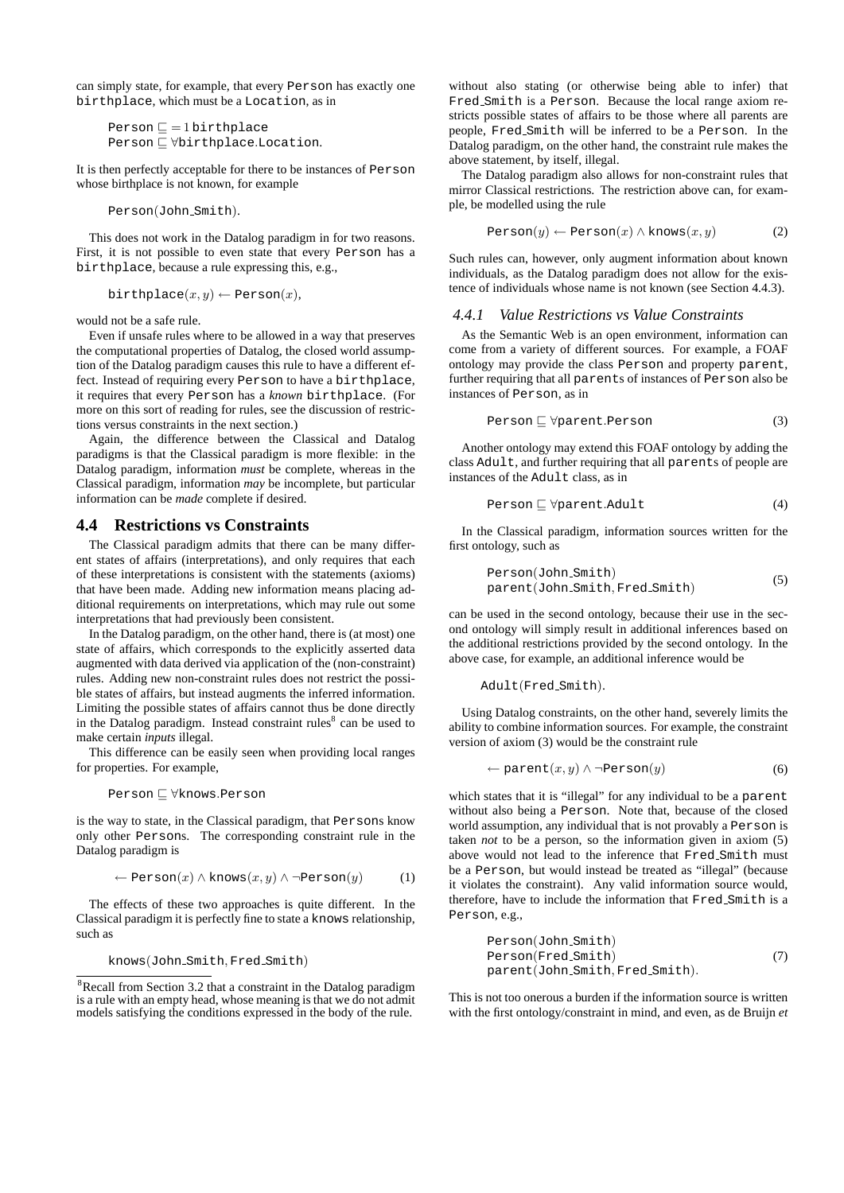can simply state, for example, that every Person has exactly one birthplace, which must be a Location, as in

```
Person \sqsubseteq = 1 birthplace
Person □ ∀birthplace.Location.
```
It is then perfectly acceptable for there to be instances of Person whose birthplace is not known, for example

Person(John Smith).

This does not work in the Datalog paradigm in for two reasons. First, it is not possible to even state that every Person has a birthplace, because a rule expressing this, e.g.,

birthplace $(x, y) \leftarrow$  Person $(x)$ ,

would not be a safe rule.

Even if unsafe rules where to be allowed in a way that preserves the computational properties of Datalog, the closed world assumption of the Datalog paradigm causes this rule to have a different effect. Instead of requiring every Person to have a birthplace, it requires that every Person has a *known* birthplace. (For more on this sort of reading for rules, see the discussion of restrictions versus constraints in the next section.)

Again, the difference between the Classical and Datalog paradigms is that the Classical paradigm is more flexible: in the Datalog paradigm, information *must* be complete, whereas in the Classical paradigm, information *may* be incomplete, but particular information can be *made* complete if desired.

# **4.4 Restrictions vs Constraints**

The Classical paradigm admits that there can be many different states of affairs (interpretations), and only requires that each of these interpretations is consistent with the statements (axioms) that have been made. Adding new information means placing additional requirements on interpretations, which may rule out some interpretations that had previously been consistent.

In the Datalog paradigm, on the other hand, there is (at most) one state of affairs, which corresponds to the explicitly asserted data augmented with data derived via application of the (non-constraint) rules. Adding new non-constraint rules does not restrict the possible states of affairs, but instead augments the inferred information. Limiting the possible states of affairs cannot thus be done directly in the Datalog paradigm. Instead constraint rules<sup>8</sup> can be used to make certain *inputs* illegal.

This difference can be easily seen when providing local ranges for properties. For example,

Person ⊑ ∀knows.Person

is the way to state, in the Classical paradigm, that Persons know only other Persons. The corresponding constraint rule in the Datalog paradigm is

$$
\leftarrow \text{Person}(x) \land \text{knows}(x, y) \land \neg \text{Person}(y) \tag{1}
$$

The effects of these two approaches is quite different. In the Classical paradigm it is perfectly fine to state a knows relationship, such as

knows(John Smith, Fred Smith)

without also stating (or otherwise being able to infer) that Fred Smith is a Person. Because the local range axiom restricts possible states of affairs to be those where all parents are people, Fred Smith will be inferred to be a Person. In the Datalog paradigm, on the other hand, the constraint rule makes the above statement, by itself, illegal.

The Datalog paradigm also allows for non-constraint rules that mirror Classical restrictions. The restriction above can, for example, be modelled using the rule

$$
Person(y) \leftarrow Person(x) \land knows(x, y) \tag{2}
$$

Such rules can, however, only augment information about known individuals, as the Datalog paradigm does not allow for the existence of individuals whose name is not known (see Section 4.4.3).

#### *4.4.1 Value Restrictions vs Value Constraints*

As the Semantic Web is an open environment, information can come from a variety of different sources. For example, a FOAF ontology may provide the class Person and property parent, further requiring that all parents of instances of Person also be instances of Person, as in

$$
Person \sqsubseteq \forall parent. Person
$$
 (3)

Another ontology may extend this FOAF ontology by adding the class Adult, and further requiring that all parents of people are instances of the Adult class, as in

$$
Person \sqsubseteq \forall parent. Adult \tag{4}
$$

In the Classical paradigm, information sources written for the first ontology, such as

Person(John Smith) parent(John Smith, Fred Smith) (5)

can be used in the second ontology, because their use in the second ontology will simply result in additional inferences based on the additional restrictions provided by the second ontology. In the above case, for example, an additional inference would be

$$
\verb|Adult(Fred-Smith)|.
$$

Using Datalog constraints, on the other hand, severely limits the ability to combine information sources. For example, the constraint version of axiom (3) would be the constraint rule

$$
\leftarrow \text{parent}(x, y) \land \neg \text{Person}(y) \tag{6}
$$

which states that it is "illegal" for any individual to be a parent without also being a Person. Note that, because of the closed world assumption, any individual that is not provably a Person is taken *not* to be a person, so the information given in axiom (5) above would not lead to the inference that Fred Smith must be a Person, but would instead be treated as "illegal" (because it violates the constraint). Any valid information source would, therefore, have to include the information that Fred Smith is a Person, e.g.,

Person(John Smith) Person(Fred Smith) parent(John Smith, Fred Smith). (7)

This is not too onerous a burden if the information source is written with the first ontology/constraint in mind, and even, as de Bruijn *et*

<sup>&</sup>lt;sup>8</sup>Recall from Section 3.2 that a constraint in the Datalog paradigm is a rule with an empty head, whose meaning is that we do not admit models satisfying the conditions expressed in the body of the rule.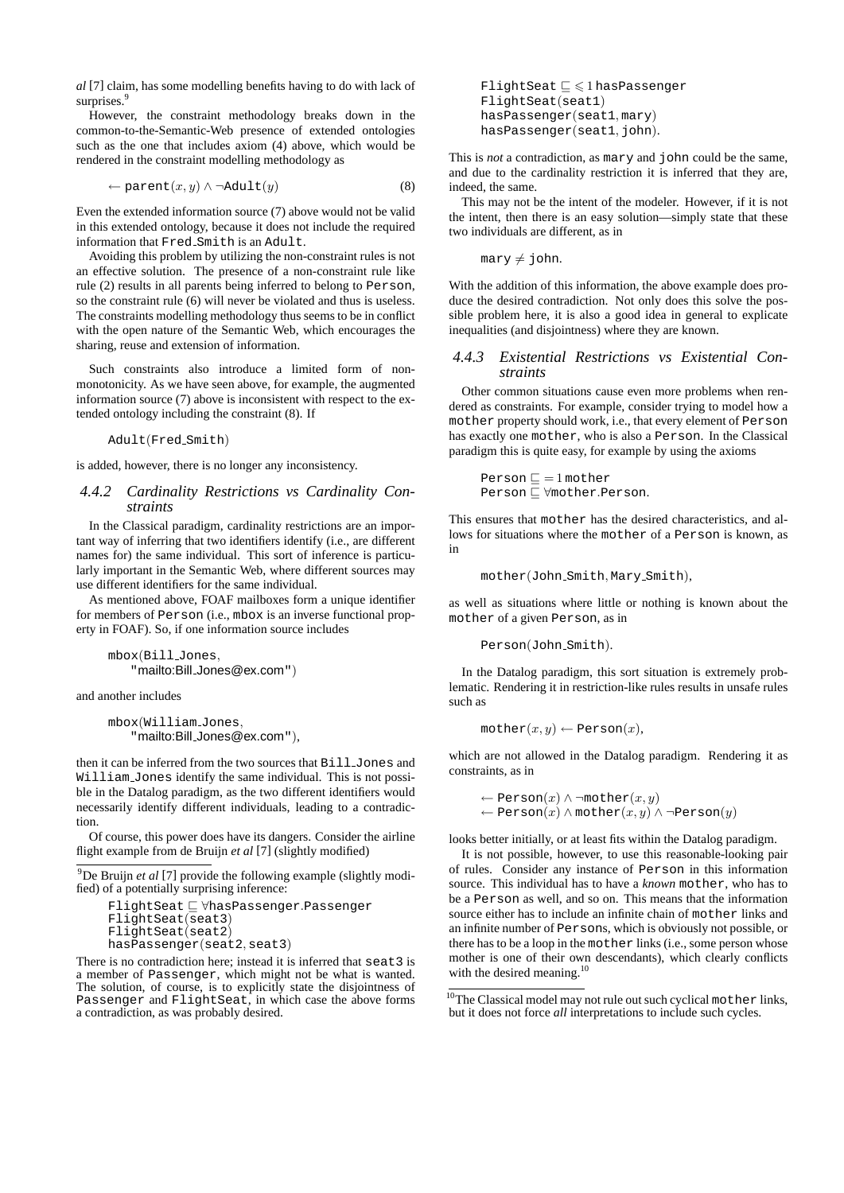*al* [7] claim, has some modelling benefits having to do with lack of surprises.<sup>9</sup>

However, the constraint methodology breaks down in the common-to-the-Semantic-Web presence of extended ontologies such as the one that includes axiom (4) above, which would be rendered in the constraint modelling methodology as

$$
\leftarrow \text{parent}(x, y) \land \neg \text{Adult}(y) \tag{8}
$$

Even the extended information source (7) above would not be valid in this extended ontology, because it does not include the required information that Fred Smith is an Adult.

Avoiding this problem by utilizing the non-constraint rules is not an effective solution. The presence of a non-constraint rule like rule (2) results in all parents being inferred to belong to Person, so the constraint rule (6) will never be violated and thus is useless. The constraints modelling methodology thus seems to be in conflict with the open nature of the Semantic Web, which encourages the sharing, reuse and extension of information.

Such constraints also introduce a limited form of nonmonotonicity. As we have seen above, for example, the augmented information source (7) above is inconsistent with respect to the extended ontology including the constraint (8). If

Adult(Fred Smith)

is added, however, there is no longer any inconsistency.

#### *4.4.2 Cardinality Restrictions vs Cardinality Constraints*

In the Classical paradigm, cardinality restrictions are an important way of inferring that two identifiers identify (i.e., are different names for) the same individual. This sort of inference is particularly important in the Semantic Web, where different sources may use different identifiers for the same individual.

As mentioned above, FOAF mailboxes form a unique identifier for members of Person (i.e., mbox is an inverse functional property in FOAF). So, if one information source includes

```
mbox(Bill Jones,
   "mailto:Bill Jones@ex.com")
```
and another includes

```
mbox(William Jones,
    "mailto:Bill Jones@ex.com"),
```
then it can be inferred from the two sources that Bill Jones and William Jones identify the same individual. This is not possible in the Datalog paradigm, as the two different identifiers would necessarily identify different individuals, leading to a contradiction.

Of course, this power does have its dangers. Consider the airline flight example from de Bruijn *et al* [7] (slightly modified)

<sup>9</sup>De Bruijn *et al* [7] provide the following example (slightly modified) of a potentially surprising inference:

FlightSeat  $□$  ∀hasPassenger.Passenger

```
FlightSeat(seat3)
```

```
FlightSeat(seat2)
```
hasPassenger(seat2, seat3)

There is no contradiction here; instead it is inferred that seat3 is a member of Passenger, which might not be what is wanted. The solution, of course, is to explicitly state the disjointness of Passenger and FlightSeat, in which case the above forms a contradiction, as was probably desired.

FlightSeat  $\subseteq$   $\leq$  1 hasPassenger FlightSeat(seat1) hasPassenger(seat1, mary) hasPassenger(seat1, john).

This is *not* a contradiction, as mary and john could be the same, and due to the cardinality restriction it is inferred that they are, indeed, the same.

This may not be the intent of the modeler. However, if it is not the intent, then there is an easy solution—simply state that these two individuals are different, as in

 $mary \neq john$ .

With the addition of this information, the above example does produce the desired contradiction. Not only does this solve the possible problem here, it is also a good idea in general to explicate inequalities (and disjointness) where they are known.

#### *4.4.3 Existential Restrictions vs Existential Constraints*

Other common situations cause even more problems when rendered as constraints. For example, consider trying to model how a mother property should work, i.e., that every element of Person has exactly one mother, who is also a Person. In the Classical paradigm this is quite easy, for example by using the axioms

 $\texttt{Person}\sqsubseteq \texttt{=}\, 1$  mother Person  $□$  ∀mother.Person.

This ensures that mother has the desired characteristics, and allows for situations where the mother of a Person is known, as in

mother(John Smith, Mary Smith),

as well as situations where little or nothing is known about the mother of a given Person, as in

Person(John Smith).

In the Datalog paradigm, this sort situation is extremely problematic. Rendering it in restriction-like rules results in unsafe rules such as

$$
\mathtt{mother}(x, y) \leftarrow \mathtt{Person}(x),
$$

which are not allowed in the Datalog paradigm. Rendering it as constraints, as in

```
← Person(x) \land ¬mother(x, y)← Person(x) \wedge mother(x, y) \wedge \negPerson(y)
```
looks better initially, or at least fits within the Datalog paradigm.

It is not possible, however, to use this reasonable-looking pair of rules. Consider any instance of Person in this information source. This individual has to have a *known* mother, who has to be a Person as well, and so on. This means that the information source either has to include an infinite chain of mother links and an infinite number of Persons, which is obviously not possible, or there has to be a loop in the mother links (i.e., some person whose mother is one of their own descendants), which clearly conflicts with the desired meaning.<sup>10</sup>

<sup>&</sup>lt;sup>10</sup>The Classical model may not rule out such cyclical mother links, but it does not force *all* interpretations to include such cycles.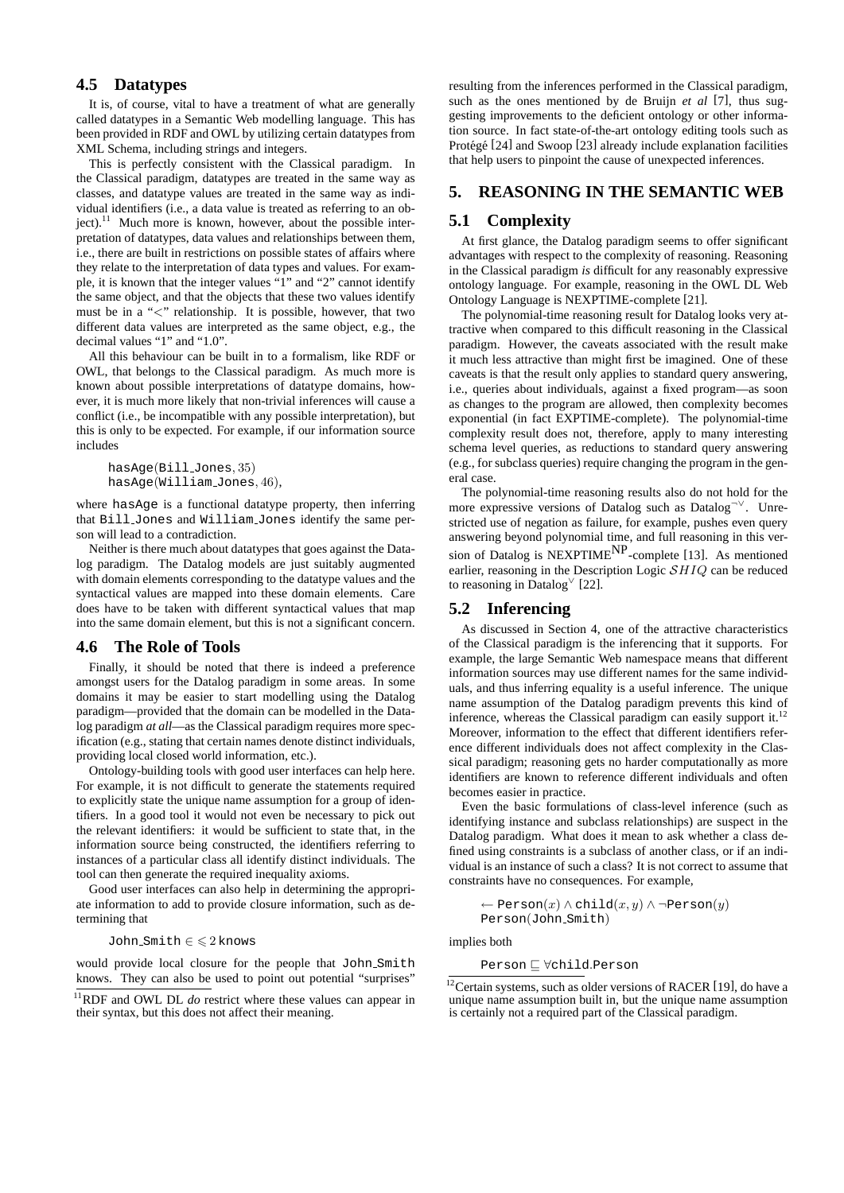### **4.5 Datatypes**

It is, of course, vital to have a treatment of what are generally called datatypes in a Semantic Web modelling language. This has been provided in RDF and OWL by utilizing certain datatypes from XML Schema, including strings and integers.

This is perfectly consistent with the Classical paradigm. In the Classical paradigm, datatypes are treated in the same way as classes, and datatype values are treated in the same way as individual identifiers (i.e., a data value is treated as referring to an object).<sup>11</sup> Much more is known, however, about the possible interpretation of datatypes, data values and relationships between them, i.e., there are built in restrictions on possible states of affairs where they relate to the interpretation of data types and values. For example, it is known that the integer values "1" and "2" cannot identify the same object, and that the objects that these two values identify must be in a "<" relationship. It is possible, however, that two different data values are interpreted as the same object, e.g., the decimal values "1" and "1.0".

All this behaviour can be built in to a formalism, like RDF or OWL, that belongs to the Classical paradigm. As much more is known about possible interpretations of datatype domains, however, it is much more likely that non-trivial inferences will cause a conflict (i.e., be incompatible with any possible interpretation), but this is only to be expected. For example, if our information source includes

```
hasAge(Bill Jones, 35)
hasAge(William Jones, 46),
```
where hasAge is a functional datatype property, then inferring that Bill Jones and William Jones identify the same person will lead to a contradiction.

Neither is there much about datatypes that goes against the Datalog paradigm. The Datalog models are just suitably augmented with domain elements corresponding to the datatype values and the syntactical values are mapped into these domain elements. Care does have to be taken with different syntactical values that map into the same domain element, but this is not a significant concern.

### **4.6 The Role of Tools**

Finally, it should be noted that there is indeed a preference amongst users for the Datalog paradigm in some areas. In some domains it may be easier to start modelling using the Datalog paradigm—provided that the domain can be modelled in the Datalog paradigm *at all*—as the Classical paradigm requires more specification (e.g., stating that certain names denote distinct individuals, providing local closed world information, etc.).

Ontology-building tools with good user interfaces can help here. For example, it is not difficult to generate the statements required to explicitly state the unique name assumption for a group of identifiers. In a good tool it would not even be necessary to pick out the relevant identifiers: it would be sufficient to state that, in the information source being constructed, the identifiers referring to instances of a particular class all identify distinct individuals. The tool can then generate the required inequality axioms.

Good user interfaces can also help in determining the appropriate information to add to provide closure information, such as determining that

$$
\texttt{John-Smith} \in \mathbin{\leqslant} 2 \, \texttt{knows}
$$

would provide local closure for the people that John Smith knows. They can also be used to point out potential "surprises"

<sup>11</sup>RDF and OWL DL *do* restrict where these values can appear in their syntax, but this does not affect their meaning.

resulting from the inferences performed in the Classical paradigm, such as the ones mentioned by de Bruijn *et al* [7], thus suggesting improvements to the deficient ontology or other information source. In fact state-of-the-art ontology editing tools such as Protégé [24] and Swoop [23] already include explanation facilities that help users to pinpoint the cause of unexpected inferences.

### **5. REASONING IN THE SEMANTIC WEB**

### **5.1 Complexity**

At first glance, the Datalog paradigm seems to offer significant advantages with respect to the complexity of reasoning. Reasoning in the Classical paradigm *is* difficult for any reasonably expressive ontology language. For example, reasoning in the OWL DL Web Ontology Language is NEXPTIME-complete [21].

The polynomial-time reasoning result for Datalog looks very attractive when compared to this difficult reasoning in the Classical paradigm. However, the caveats associated with the result make it much less attractive than might first be imagined. One of these caveats is that the result only applies to standard query answering, i.e., queries about individuals, against a fixed program—as soon as changes to the program are allowed, then complexity becomes exponential (in fact EXPTIME-complete). The polynomial-time complexity result does not, therefore, apply to many interesting schema level queries, as reductions to standard query answering (e.g., for subclass queries) require changing the program in the general case.

The polynomial-time reasoning results also do not hold for the more expressive versions of Datalog such as Datalog¬∨. Unrestricted use of negation as failure, for example, pushes even query answering beyond polynomial time, and full reasoning in this version of Datalog is NEXPTIME<sup>NP</sup>-complete [13]. As mentioned earlier, reasoning in the Description Logic SHIQ can be reduced to reasoning in Datalog $\sqrt{22}$ .

## **5.2 Inferencing**

As discussed in Section 4, one of the attractive characteristics of the Classical paradigm is the inferencing that it supports. For example, the large Semantic Web namespace means that different information sources may use different names for the same individuals, and thus inferring equality is a useful inference. The unique name assumption of the Datalog paradigm prevents this kind of inference, whereas the Classical paradigm can easily support it.<sup>12</sup> Moreover, information to the effect that different identifiers reference different individuals does not affect complexity in the Classical paradigm; reasoning gets no harder computationally as more identifiers are known to reference different individuals and often becomes easier in practice.

Even the basic formulations of class-level inference (such as identifying instance and subclass relationships) are suspect in the Datalog paradigm. What does it mean to ask whether a class defined using constraints is a subclass of another class, or if an individual is an instance of such a class? It is not correct to assume that constraints have no consequences. For example,

← Person $(x) \wedge \text{child}(x, y) \wedge \neg \text{Person}(y)$ Person(John Smith)

implies both

Person  $□$  ∀child.Person

 $12$ Certain systems, such as older versions of RACER [19], do have a unique name assumption built in, but the unique name assumption is certainly not a required part of the Classical paradigm.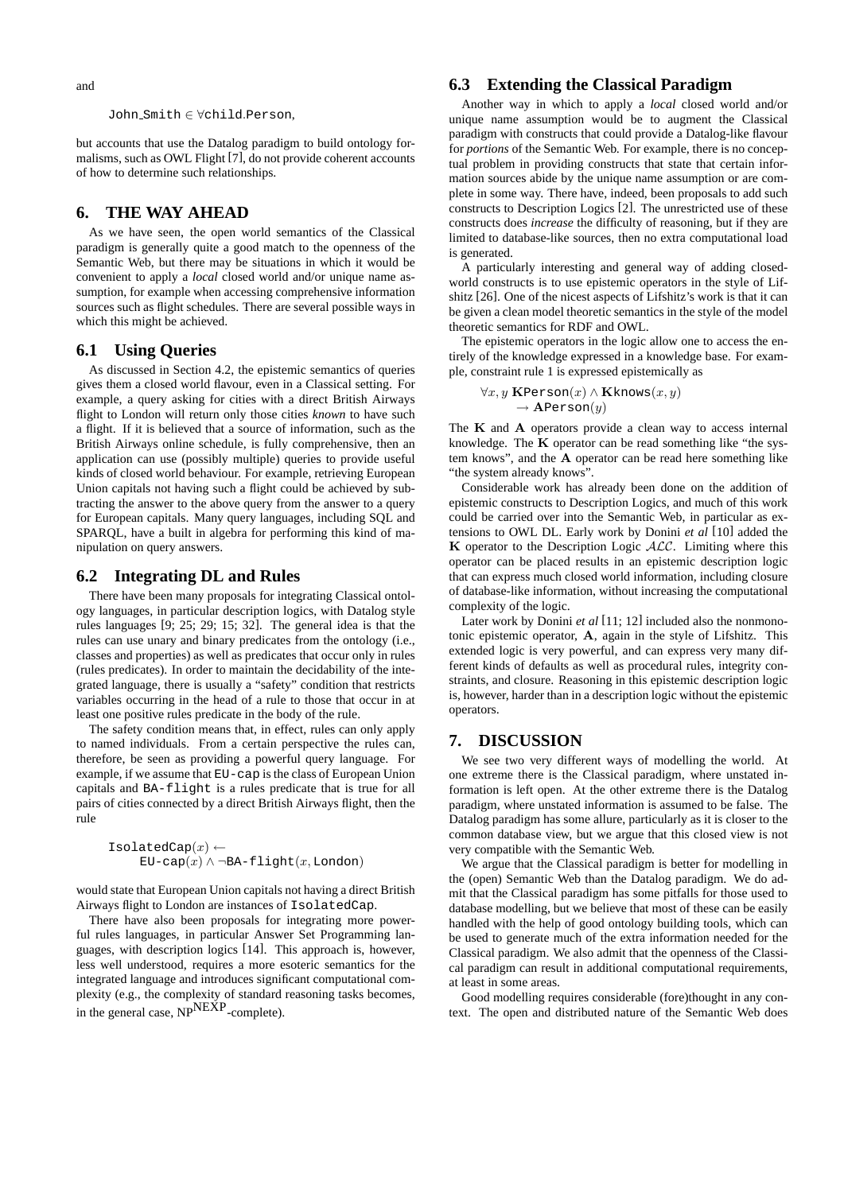John Smith ∈ ∀child.Person,

but accounts that use the Datalog paradigm to build ontology formalisms, such as OWL Flight [7], do not provide coherent accounts of how to determine such relationships.

# **6. THE WAY AHEAD**

As we have seen, the open world semantics of the Classical paradigm is generally quite a good match to the openness of the Semantic Web, but there may be situations in which it would be convenient to apply a *local* closed world and/or unique name assumption, for example when accessing comprehensive information sources such as flight schedules. There are several possible ways in which this might be achieved.

# **6.1 Using Queries**

As discussed in Section 4.2, the epistemic semantics of queries gives them a closed world flavour, even in a Classical setting. For example, a query asking for cities with a direct British Airways flight to London will return only those cities *known* to have such a flight. If it is believed that a source of information, such as the British Airways online schedule, is fully comprehensive, then an application can use (possibly multiple) queries to provide useful kinds of closed world behaviour. For example, retrieving European Union capitals not having such a flight could be achieved by subtracting the answer to the above query from the answer to a query for European capitals. Many query languages, including SQL and SPARQL, have a built in algebra for performing this kind of manipulation on query answers.

### **6.2 Integrating DL and Rules**

There have been many proposals for integrating Classical ontology languages, in particular description logics, with Datalog style rules languages [9; 25; 29; 15; 32]. The general idea is that the rules can use unary and binary predicates from the ontology (i.e., classes and properties) as well as predicates that occur only in rules (rules predicates). In order to maintain the decidability of the integrated language, there is usually a "safety" condition that restricts variables occurring in the head of a rule to those that occur in at least one positive rules predicate in the body of the rule.

The safety condition means that, in effect, rules can only apply to named individuals. From a certain perspective the rules can, therefore, be seen as providing a powerful query language. For example, if we assume that EU-cap is the class of European Union capitals and BA-flight is a rules predicate that is true for all pairs of cities connected by a direct British Airways flight, then the rule

$$
\begin{matrix} \texttt{IsolatedCap}(x) \leftarrow \\ \texttt{EU-cap}(x) \land \neg \texttt{BA-flight}(x, \texttt{London}) \end{matrix}
$$

would state that European Union capitals not having a direct British Airways flight to London are instances of IsolatedCap.

There have also been proposals for integrating more powerful rules languages, in particular Answer Set Programming languages, with description logics [14]. This approach is, however, less well understood, requires a more esoteric semantics for the integrated language and introduces significant computational complexity (e.g., the complexity of standard reasoning tasks becomes, in the general case, NPNEXP-complete).

## **6.3 Extending the Classical Paradigm**

Another way in which to apply a *local* closed world and/or unique name assumption would be to augment the Classical paradigm with constructs that could provide a Datalog-like flavour for *portions* of the Semantic Web. For example, there is no conceptual problem in providing constructs that state that certain information sources abide by the unique name assumption or are complete in some way. There have, indeed, been proposals to add such constructs to Description Logics [2]. The unrestricted use of these constructs does *increase* the difficulty of reasoning, but if they are limited to database-like sources, then no extra computational load is generated.

A particularly interesting and general way of adding closedworld constructs is to use epistemic operators in the style of Lifshitz [26]. One of the nicest aspects of Lifshitz's work is that it can be given a clean model theoretic semantics in the style of the model theoretic semantics for RDF and OWL.

The epistemic operators in the logic allow one to access the entirely of the knowledge expressed in a knowledge base. For example, constraint rule 1 is expressed epistemically as

$$
\forall x, y \; \mathbf{KPerson}(x) \land \mathbf{Kknows}(x, y) \n\rightarrow \mathbf{APerson}(y)
$$

The K and A operators provide a clean way to access internal knowledge. The  $K$  operator can be read something like "the system knows", and the A operator can be read here something like "the system already knows".

Considerable work has already been done on the addition of epistemic constructs to Description Logics, and much of this work could be carried over into the Semantic Web, in particular as extensions to OWL DL. Early work by Donini *et al* [10] added the  $\bf{K}$  operator to the Description Logic  $\cal{ALC}$ . Limiting where this operator can be placed results in an epistemic description logic that can express much closed world information, including closure of database-like information, without increasing the computational complexity of the logic.

Later work by Donini *et al* [11; 12] included also the nonmonotonic epistemic operator, A, again in the style of Lifshitz. This extended logic is very powerful, and can express very many different kinds of defaults as well as procedural rules, integrity constraints, and closure. Reasoning in this epistemic description logic is, however, harder than in a description logic without the epistemic operators.

### **7. DISCUSSION**

We see two very different ways of modelling the world. At one extreme there is the Classical paradigm, where unstated information is left open. At the other extreme there is the Datalog paradigm, where unstated information is assumed to be false. The Datalog paradigm has some allure, particularly as it is closer to the common database view, but we argue that this closed view is not very compatible with the Semantic Web.

We argue that the Classical paradigm is better for modelling in the (open) Semantic Web than the Datalog paradigm. We do admit that the Classical paradigm has some pitfalls for those used to database modelling, but we believe that most of these can be easily handled with the help of good ontology building tools, which can be used to generate much of the extra information needed for the Classical paradigm. We also admit that the openness of the Classical paradigm can result in additional computational requirements, at least in some areas.

Good modelling requires considerable (fore)thought in any context. The open and distributed nature of the Semantic Web does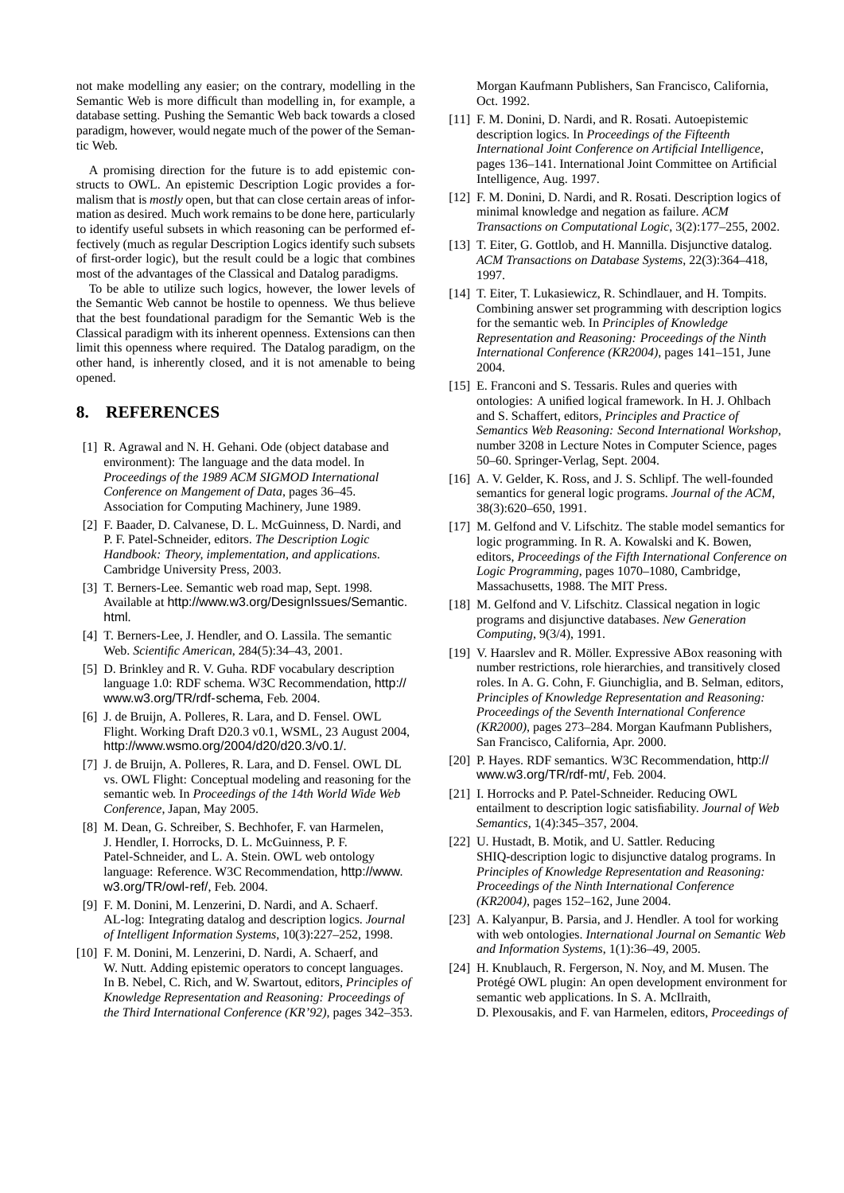not make modelling any easier; on the contrary, modelling in the Semantic Web is more difficult than modelling in, for example, a database setting. Pushing the Semantic Web back towards a closed paradigm, however, would negate much of the power of the Semantic Web.

A promising direction for the future is to add epistemic constructs to OWL. An epistemic Description Logic provides a formalism that is *mostly* open, but that can close certain areas of information as desired. Much work remains to be done here, particularly to identify useful subsets in which reasoning can be performed effectively (much as regular Description Logics identify such subsets of first-order logic), but the result could be a logic that combines most of the advantages of the Classical and Datalog paradigms.

To be able to utilize such logics, however, the lower levels of the Semantic Web cannot be hostile to openness. We thus believe that the best foundational paradigm for the Semantic Web is the Classical paradigm with its inherent openness. Extensions can then limit this openness where required. The Datalog paradigm, on the other hand, is inherently closed, and it is not amenable to being opened.

# **8. REFERENCES**

- [1] R. Agrawal and N. H. Gehani. Ode (object database and environment): The language and the data model. In *Proceedings of the 1989 ACM SIGMOD International Conference on Mangement of Data*, pages 36–45. Association for Computing Machinery, June 1989.
- [2] F. Baader, D. Calvanese, D. L. McGuinness, D. Nardi, and P. F. Patel-Schneider, editors. *The Description Logic Handbook: Theory, implementation, and applications*. Cambridge University Press, 2003.
- [3] T. Berners-Lee. Semantic web road map, Sept. 1998. Available at http://www.w3.org/DesignIssues/Semantic. html.
- [4] T. Berners-Lee, J. Hendler, and O. Lassila. The semantic Web. *Scientific American*, 284(5):34–43, 2001.
- [5] D. Brinkley and R. V. Guha. RDF vocabulary description language 1.0: RDF schema. W3C Recommendation, http:// www.w3.org/TR/rdf-schema, Feb. 2004.
- [6] J. de Bruijn, A. Polleres, R. Lara, and D. Fensel. OWL Flight. Working Draft D20.3 v0.1, WSML, 23 August 2004, http://www.wsmo.org/2004/d20/d20.3/v0.1/.
- [7] J. de Bruijn, A. Polleres, R. Lara, and D. Fensel. OWL DL vs. OWL Flight: Conceptual modeling and reasoning for the semantic web. In *Proceedings of the 14th World Wide Web Conference*, Japan, May 2005.
- [8] M. Dean, G. Schreiber, S. Bechhofer, F. van Harmelen, J. Hendler, I. Horrocks, D. L. McGuinness, P. F. Patel-Schneider, and L. A. Stein. OWL web ontology language: Reference. W3C Recommendation, http://www. w3.org/TR/owl-ref/, Feb. 2004.
- [9] F. M. Donini, M. Lenzerini, D. Nardi, and A. Schaerf. AL-log: Integrating datalog and description logics. *Journal of Intelligent Information Systems*, 10(3):227–252, 1998.
- [10] F. M. Donini, M. Lenzerini, D. Nardi, A. Schaerf, and W. Nutt. Adding epistemic operators to concept languages. In B. Nebel, C. Rich, and W. Swartout, editors, *Principles of Knowledge Representation and Reasoning: Proceedings of the Third International Conference (KR'92)*, pages 342–353.

Morgan Kaufmann Publishers, San Francisco, California, Oct. 1992.

- [11] F. M. Donini, D. Nardi, and R. Rosati. Autoepistemic description logics. In *Proceedings of the Fifteenth International Joint Conference on Artificial Intelligence*, pages 136–141. International Joint Committee on Artificial Intelligence, Aug. 1997.
- [12] F. M. Donini, D. Nardi, and R. Rosati. Description logics of minimal knowledge and negation as failure. *ACM Transactions on Computational Logic*, 3(2):177–255, 2002.
- [13] T. Eiter, G. Gottlob, and H. Mannilla. Disjunctive datalog. *ACM Transactions on Database Systems*, 22(3):364–418, 1997.
- [14] T. Eiter, T. Lukasiewicz, R. Schindlauer, and H. Tompits. Combining answer set programming with description logics for the semantic web. In *Principles of Knowledge Representation and Reasoning: Proceedings of the Ninth International Conference (KR2004)*, pages 141–151, June 2004.
- [15] E. Franconi and S. Tessaris. Rules and queries with ontologies: A unified logical framework. In H. J. Ohlbach and S. Schaffert, editors, *Principles and Practice of Semantics Web Reasoning: Second International Workshop*, number 3208 in Lecture Notes in Computer Science, pages 50–60. Springer-Verlag, Sept. 2004.
- [16] A. V. Gelder, K. Ross, and J. S. Schlipf. The well-founded semantics for general logic programs. *Journal of the ACM*, 38(3):620–650, 1991.
- [17] M. Gelfond and V. Lifschitz. The stable model semantics for logic programming. In R. A. Kowalski and K. Bowen, editors, *Proceedings of the Fifth International Conference on Logic Programming*, pages 1070–1080, Cambridge, Massachusetts, 1988. The MIT Press.
- [18] M. Gelfond and V. Lifschitz. Classical negation in logic programs and disjunctive databases. *New Generation Computing*, 9(3/4), 1991.
- [19] V. Haarslev and R. Möller. Expressive ABox reasoning with number restrictions, role hierarchies, and transitively closed roles. In A. G. Cohn, F. Giunchiglia, and B. Selman, editors, *Principles of Knowledge Representation and Reasoning: Proceedings of the Seventh International Conference (KR2000)*, pages 273–284. Morgan Kaufmann Publishers, San Francisco, California, Apr. 2000.
- [20] P. Hayes. RDF semantics. W3C Recommendation, http:// www.w3.org/TR/rdf-mt/, Feb. 2004.
- [21] I. Horrocks and P. Patel-Schneider. Reducing OWL entailment to description logic satisfiability. *Journal of Web Semantics*, 1(4):345–357, 2004.
- [22] U. Hustadt, B. Motik, and U. Sattler. Reducing SHIQ-description logic to disjunctive datalog programs. In *Principles of Knowledge Representation and Reasoning: Proceedings of the Ninth International Conference (KR2004)*, pages 152–162, June 2004.
- [23] A. Kalyanpur, B. Parsia, and J. Hendler. A tool for working with web ontologies. *International Journal on Semantic Web and Information Systems*, 1(1):36–49, 2005.
- [24] H. Knublauch, R. Fergerson, N. Noy, and M. Musen. The Protégé OWL plugin: An open development environment for semantic web applications. In S. A. McIlraith, D. Plexousakis, and F. van Harmelen, editors, *Proceedings of*